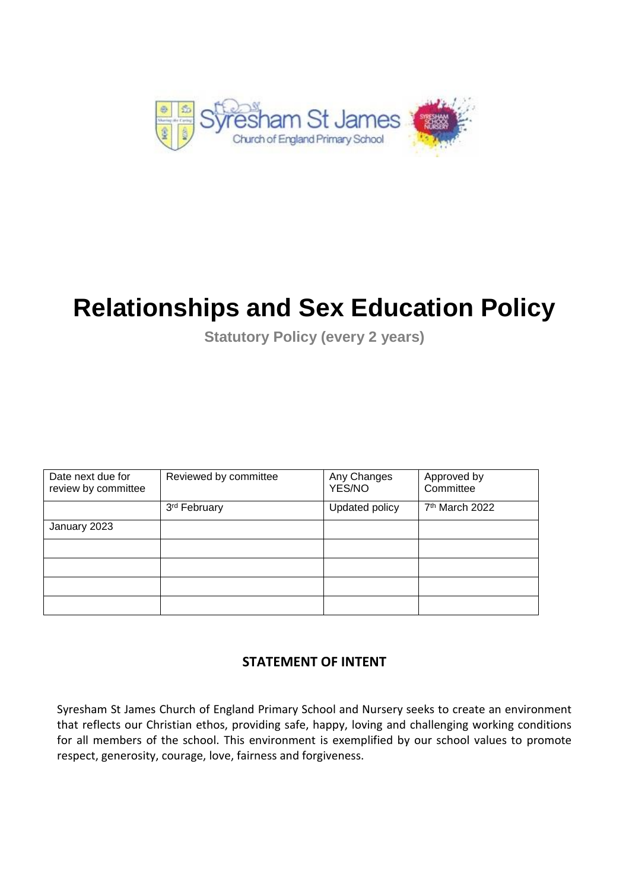

# **Relationships and Sex Education Policy**

**Statutory Policy (every 2 years)**

| Date next due for<br>review by committee | Reviewed by committee | Any Changes<br>YES/NO                        | Approved by<br>Committee |
|------------------------------------------|-----------------------|----------------------------------------------|--------------------------|
|                                          | 3rd February          | 7 <sup>th</sup> March 2022<br>Updated policy |                          |
| January 2023                             |                       |                                              |                          |
|                                          |                       |                                              |                          |
|                                          |                       |                                              |                          |
|                                          |                       |                                              |                          |
|                                          |                       |                                              |                          |

## **STATEMENT OF INTENT**

Syresham St James Church of England Primary School and Nursery seeks to create an environment that reflects our Christian ethos, providing safe, happy, loving and challenging working conditions for all members of the school. This environment is exemplified by our school values to promote respect, generosity, courage, love, fairness and forgiveness.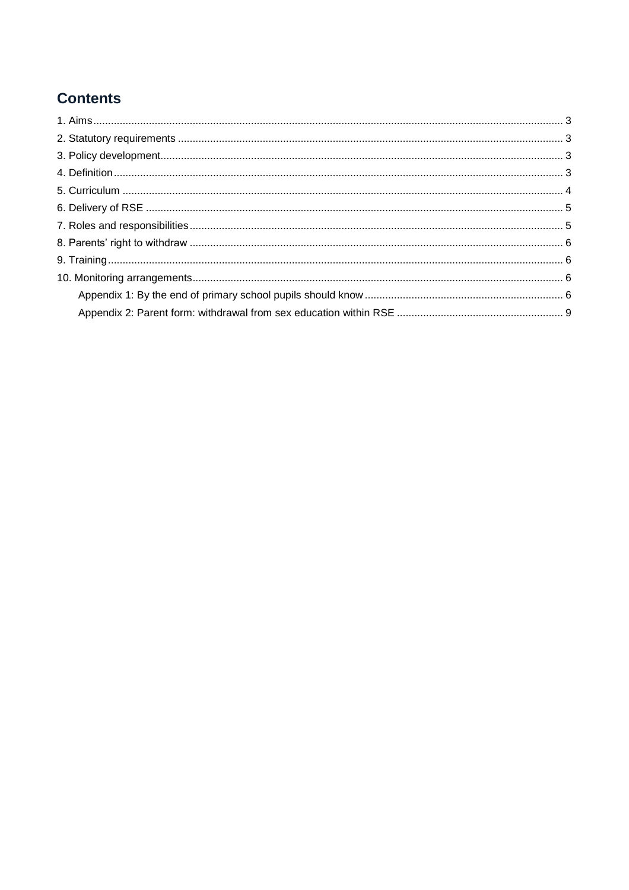# **Contents**

<span id="page-1-0"></span>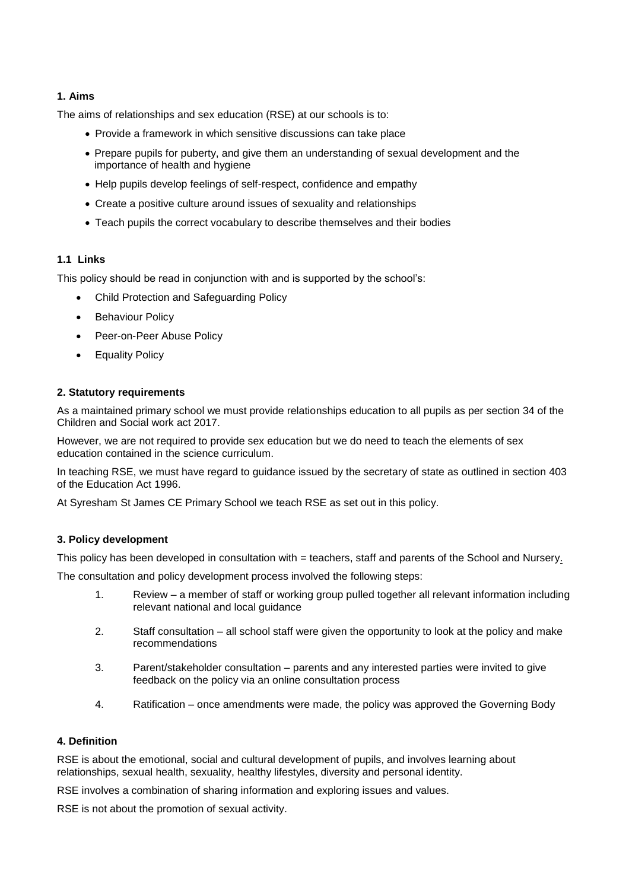#### **1. Aims**

The aims of relationships and sex education (RSE) at our schools is to:

- Provide a framework in which sensitive discussions can take place
- Prepare pupils for puberty, and give them an understanding of sexual development and the importance of health and hygiene
- Help pupils develop feelings of self-respect, confidence and empathy
- Create a positive culture around issues of sexuality and relationships
- Teach pupils the correct vocabulary to describe themselves and their bodies

#### **1.1 Links**

This policy should be read in conjunction with and is supported by the school's:

- Child Protection and Safeguarding Policy
- Behaviour Policy
- Peer-on-Peer Abuse Policy
- **Equality Policy**

#### <span id="page-2-0"></span>**2. Statutory requirements**

As a maintained primary school we must provide relationships education to all pupils as per section 34 of the Children and Social work act 2017.

However, we are not required to provide sex education but we do need to teach the elements of sex education contained in the science curriculum.

In teaching RSE, we must have regard to guidance issued by the secretary of state as outlined in section 403 of the Education Act 1996.

At Syresham St James CE Primary School we teach RSE as set out in this policy.

#### <span id="page-2-1"></span>**3. Policy development**

This policy has been developed in consultation with = teachers, staff and parents of the School and Nursery.

The consultation and policy development process involved the following steps:

- 1. Review a member of staff or working group pulled together all relevant information including relevant national and local guidance
- 2. Staff consultation all school staff were given the opportunity to look at the policy and make recommendations
- 3. Parent/stakeholder consultation parents and any interested parties were invited to give feedback on the policy via an online consultation process
- <span id="page-2-2"></span>4. Ratification – once amendments were made, the policy was approved the Governing Body

#### **4. Definition**

RSE is about the emotional, social and cultural development of pupils, and involves learning about relationships, sexual health, sexuality, healthy lifestyles, diversity and personal identity.

RSE involves a combination of sharing information and exploring issues and values.

RSE is not about the promotion of sexual activity.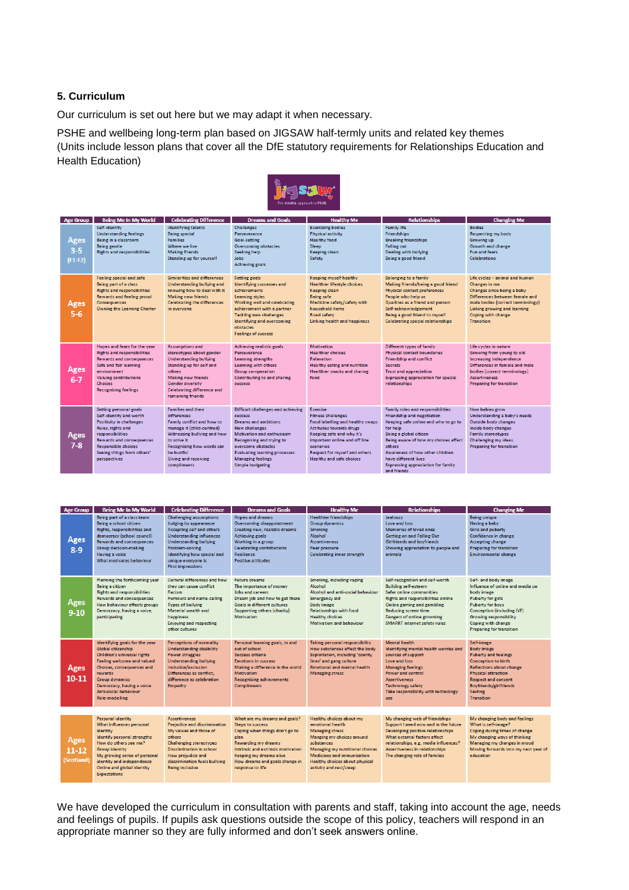#### <span id="page-3-0"></span>**5. Curriculum**

Our curriculum is set out here but we may adapt it when necessary.

PSHE and wellbeing long-term plan based on JIGSAW half-termly units and related key themes (Units include lesson plans that cover all the DfE statutory requirements for Relationships Education and Health Education)



| <b>Age Group</b>             | <b>Being Me In My World</b>                                                                                                                                                                                                                  | <b>Celebrating Difference</b>                                                                                                                                                                                                               | <b>Dreams and Goals</b>                                                                                                                                                                                                                                                                     | <b>Healthy Me</b>                                                                                                                                                                                                                                                 | <b>Relationships</b>                                                                                                                                                                                                                                                                                                          | <b>Changing Me</b>                                                                                                                                                                                                                     |
|------------------------------|----------------------------------------------------------------------------------------------------------------------------------------------------------------------------------------------------------------------------------------------|---------------------------------------------------------------------------------------------------------------------------------------------------------------------------------------------------------------------------------------------|---------------------------------------------------------------------------------------------------------------------------------------------------------------------------------------------------------------------------------------------------------------------------------------------|-------------------------------------------------------------------------------------------------------------------------------------------------------------------------------------------------------------------------------------------------------------------|-------------------------------------------------------------------------------------------------------------------------------------------------------------------------------------------------------------------------------------------------------------------------------------------------------------------------------|----------------------------------------------------------------------------------------------------------------------------------------------------------------------------------------------------------------------------------------|
| Ages<br>$3 - 5$<br>$(F1-F2)$ | Self-identity<br><b>Understanding feelings</b><br>Being in a classroom<br><b>Being gentle</b><br><b>Rights and responsibilities</b>                                                                                                          | <b>Identifying talents</b><br><b>Being special</b><br><b>Families</b><br>Where we live<br><b>Making friends</b><br><b>Standing up for yourself</b>                                                                                          | <b>Challenges</b><br>Perseverance<br>Goal-setting<br><b>Overcoming obstacles</b><br>Seeking help<br>Jobs<br><b>Achieving goals</b>                                                                                                                                                          | <b>Exercising bodies</b><br><b>Physical activity</b><br><b>Healthy food</b><br>Sleep<br>Keeping clean<br>Safety                                                                                                                                                   | <b>Family life</b><br><b>Friendships</b><br><b>Breaking friendships</b><br><b>Falling out</b><br><b>Dealing with bullving</b><br>Being a good friend                                                                                                                                                                          | <b>Bodies</b><br><b>Respecting my body</b><br>Growing up<br>Growth and change<br><b>Fun and fears</b><br><b>Celebrations</b>                                                                                                           |
| Ages<br>$5 - 6$              | <b>Feeling special and safe</b><br>Being part of a class<br><b>Rights and responsibilities</b><br><b>Rewards and feeling proud</b><br><b>Consequences</b><br>Owning the Learning Charter                                                     | <b>Similarities and differences</b><br>Understanding bullying and<br>knowing how to deal with it<br><b>Making new friends</b><br><b>Celebrating the differences</b><br>in everyone                                                          | <b>Setting goals</b><br>Identifying successes and<br>achievements<br>Learning styles<br>Working well and celebrating<br>achievement with a partner<br><b>Tackling new challenges</b><br>Identifying and overcoming<br>obstacles<br><b>Feelings of success</b>                               | Keeping myself healthy<br>Healthier lifestyle choices<br>Keeping clean<br><b>Being safe</b><br>Medicine safety/safety with<br>household items<br><b>Road safety</b><br><b>Linking health and happiness</b>                                                        | <b>Belonging to a family</b><br>Making friends/being a good friend<br><b>Physical contact preferences</b><br>People who help us<br>Qualities as a friend and person<br>Self-acknowledgement<br>Being a good friend to myself<br><b>Celebrating special relationships</b>                                                      | Life cycles - animal and human<br><b>Changes</b> in me<br>Changes since being a baby<br>Differences between female and<br>male bodies (correct terminology)<br>Linking growing and learning<br>Coping with change<br><b>Transition</b> |
| Ages<br>$6 - 7$              | Hopes and fears for the year<br><b>Rights and responsibilities</b><br><b>Rewards and consequences</b><br>Safe and fair learning<br>environment<br><b>Valuing contributions</b><br><b>Choices</b><br><b>Recognising feelings</b>              | <b>Assumptions and</b><br>stereotypes about gender<br><b>Understanding bullying</b><br>Standing up for self and<br>others<br><b>Making new friends</b><br><b>Gender diversity</b><br><b>Celebrating difference and</b><br>remaining friends | <b>Achieving realistic goals</b><br>Perseverance<br><b>Learning strengths</b><br>Learning with others<br><b>Group co-operation</b><br>Contributing to and sharing<br>success                                                                                                                | <b>Motivation</b><br><b>Healthier choices</b><br>Relaxation<br><b>Healthy eating and nutrition</b><br><b>Healthier snacks and sharing</b><br>food                                                                                                                 | <b>Different types of family</b><br><b>Physical contact boundaries</b><br><b>Friendship and conflict</b><br><b>Secrets</b><br><b>Trust and appreciation</b><br><b>Expressing appreciation for special</b><br>relationships                                                                                                    | Life cycles in nature<br>Growing from young to old<br>Increasing independence<br>Differences in female and male<br>bodies (correct terminology)<br><b>Assertiveness</b><br><b>Preparing for transition</b>                             |
| Ages<br>$7 - 8$              | Setting personal goals<br>Self-identity and worth<br><b>Positivity in challenges</b><br>Rules, rights and<br>responsibilities<br><b>Rewards and consequences</b><br><b>Responsible choices</b><br>Seeing things from others'<br>perspectives | <b>Families and their</b><br>differences<br>Family conflict and how to<br>manage it (child-centred)<br>Witnessing bullying and how<br>to solve it<br>Recognising how words can<br>be hurtful<br><b>Giving and receiving</b><br>compliments  | Difficult challenges and achieving<br>success<br><b>Dreams and ambitions</b><br><b>New challenges</b><br><b>Motivation and enthusiasm</b><br>Recognising and trying to<br>overcome obstacles<br><b>Evaluating learning processes</b><br><b>Managing feelings</b><br><b>Simple budgeting</b> | <b>Exercise</b><br><b>Fitness challenges</b><br>Food labelling and healthy swaps<br>Attitudes towards drugs<br>Keeping safe and why it's<br>important online and off line<br>scenarios<br><b>Respect for myself and others</b><br><b>Healthy and safe choices</b> | Family roles and responsibilities<br><b>Friendship and negotiation</b><br>Keeping safe online and who to go to<br>for help<br>Being a global citizen<br>Being aware of how my choices affect<br>others<br>Awareness of how other children<br>have different lives<br><b>Expressing appreciation for family</b><br>and friends | How babies grow<br>Understanding a baby's needs<br>Outside body changes<br>Inside body changes<br><b>Family stereotypes</b><br><b>Challenging my ideas</b><br><b>Preparing for transition</b>                                          |

| <b>Age Group</b>              | <b>Being Me In My World</b>                                                                                                                                                                                                                                         | <b>Celebrating Difference</b>                                                                                                                                                                                                                                | <b>Dreams and Goals</b>                                                                                                                                                                                                                                 | <b>Healthy Me</b>                                                                                                                                                                                                                                             | <b>Relationships</b>                                                                                                                                                                                                                                                             | <b>Changing Me</b>                                                                                                                                                                                                                                                  |
|-------------------------------|---------------------------------------------------------------------------------------------------------------------------------------------------------------------------------------------------------------------------------------------------------------------|--------------------------------------------------------------------------------------------------------------------------------------------------------------------------------------------------------------------------------------------------------------|---------------------------------------------------------------------------------------------------------------------------------------------------------------------------------------------------------------------------------------------------------|---------------------------------------------------------------------------------------------------------------------------------------------------------------------------------------------------------------------------------------------------------------|----------------------------------------------------------------------------------------------------------------------------------------------------------------------------------------------------------------------------------------------------------------------------------|---------------------------------------------------------------------------------------------------------------------------------------------------------------------------------------------------------------------------------------------------------------------|
| Ages<br>$8 - 9$               | Being part of a class team<br>Being a school citizen<br>Rights, responsibilities and<br>democracy (school council)<br><b>Rewards and consequences</b><br><b>Group decision-making</b><br>Having a voice<br><b>What motivates behaviour</b>                          | <b>Challenging assumptions</b><br>Judging by appearance<br>Accepting self and others<br><b>Understanding influences</b><br><b>Understanding bullying</b><br>Problem-solving<br>Identifying how special and<br>unique everyone is<br><b>First impressions</b> | <b>Hopes and dreams</b><br>Overcoming disappointment<br>Creating new, realistic dreams<br><b>Achieving goals</b><br>Working in a group<br><b>Celebrating contributions</b><br><b>Resilience</b><br><b>Positive attitudes</b>                            | <b>Healthier friendships</b><br><b>Group dynamics</b><br><b>Smoking</b><br>Alcohol<br><b>Assertiveness</b><br>Peer pressure<br><b>Celebrating inner strength</b>                                                                                              | Jealousy<br>Love and loss<br>Memories of loved ones<br><b>Getting on and Falling Out</b><br>Girlfriends and boyfriends<br>Showing appreciation to people and<br>animals                                                                                                          | <b>Being unique</b><br>Having a baby<br><b>Girls and puberty</b><br>Confidence in change<br><b>Accepting change</b><br><b>Preparing for transition</b><br><b>Environmental change</b>                                                                               |
| Ages<br>$9-10$                | Planning the forthcoming year<br><b>Being a citizen</b><br><b>Rights and responsibilities</b><br><b>Rewards and consequences</b><br>How behaviour affects groups<br>Democracy, having a voice,<br>participating                                                     | Cultural differences and how-<br>they can cause conflict<br><b>Racism</b><br><b>Rumours and name-calling</b><br><b>Types of bullying</b><br>Material wealth and<br>happiness<br><b>Enjoying and respecting</b><br>other cultures                             | <b>Future dreams</b><br>The importance of money<br>Jobs and careers<br>Dream job and how to get there<br><b>Goals in different cultures</b><br>Supporting others (charity)<br>Motivation                                                                | Smoking, including vaping<br>Alcohol<br>Alcohol and anti-social behaviour<br><b>Emergency aid</b><br><b>Body image</b><br><b>Relationships with food</b><br><b>Healthy choices</b><br>Motivation and behaviour                                                | Self-recognition and self-worth<br><b>Building self-esteem</b><br><b>Safer online communities</b><br><b>Rights and responsibilities online</b><br>Online gaming and gambling<br><b>Reducing screen time</b><br>Dangers of online grooming<br><b>SMARRT</b> internet safety rules | Self- and body image<br>Influence of online and media on<br>body image<br><b>Puberty for girls</b><br><b>Puberty for boys</b><br>Conception (including IVF)<br><b>Growing responsibility</b><br>Coping with change<br><b>Preparing for transition</b>               |
| Ages<br>$10 - 11$             | Identifying goals for the year<br>Global citizenship<br>Children's universal rights<br>Feeling welcome and valued<br>Choices, consequences and<br><b>rewards</b><br><b>Group dynamics</b><br>Democracy, having a voice<br>Anti-social behaviour<br>Role-modelling   | <b>Perceptions of normality</b><br><b>Understanding disability</b><br>Power struggles<br><b>Understanding bullying</b><br>Inclusion/exclusion<br>Differences as conflict.<br>difference as celebration<br><b>Empathy</b>                                     | Personal learning goals, in and<br>out of school<br><b>Success criteria</b><br><b>Emotions in success</b><br>Making a difference in the world<br><b>Motivation</b><br><b>Recognising achievements</b><br><b>Compliments</b>                             | <b>Taking personal responsibility</b><br>How substances affect the body<br><b>Exploitation, including 'county</b><br>lines' and gang culture<br><b>Emotional and mental health</b><br><b>Managing stress</b>                                                  | <b>Mental health</b><br>Identifying mental health worries and<br>sources of support<br>Love and loss<br><b>Managing feelings</b><br><b>Power and control</b><br><b>Assertiveness</b><br><b>Technology safety</b><br>Take responsibility with technology<br>use.                  | Self-image<br><b>Body image</b><br><b>Puberty and feelings</b><br><b>Conception to birth</b><br><b>Reflections about change</b><br><b>Physical attraction</b><br><b>Respect and consent</b><br><b>Boyfriends/girlfriends</b><br><b>Sexting</b><br><b>Transition</b> |
| Ages<br>$11-12$<br>(Scotland) | <b>Personal identity</b><br>What influences personal<br>identity<br>Identify personal strengths<br>How do others see me?<br><b>Group identity</b><br>My growing sense of personal<br>identity and independence<br>Online and global identity<br><b>Expectations</b> | <b>Assertiveness</b><br><b>Prejudice and discrimination</b><br>My values and those of<br>others<br><b>Challenging stereotypes</b><br><b>Discrimination in school</b><br>How prejudice and<br>discrimination fuels bullying<br><b>Being inclusive</b>         | What are my dreams and goals?<br><b>Steps to success</b><br>Coping when things don't go to<br>plan<br><b>Rewarding my dreams</b><br>Intrinsic and extrinsic motivation<br>Keeping my dreams alive<br>How dreams and goals change in<br>response to life | Healthy choices about my<br>emotional health<br><b>Managing stress</b><br>Manging my choices around<br>substances<br><b>Managing my nutritional choices</b><br><b>Medicines and immunisation</b><br>Healthy choices about physical<br>activity and rest/sleep | My changing web of friendships<br>Support I need now and in the future<br>Developing positive relationships<br>What external factors affect<br>relationships, e.g. media influences?<br><b>Assertiveness in relationships</b><br>The changing role of families                   | My changing body and feelings<br>What is self-image?<br>Coping during times of change<br>My changing ways of thinking<br>Managing my changes in mood<br>Moving forwards into my next year of<br>education                                                           |

We have developed the curriculum in consultation with parents and staff, taking into account the age, needs and feelings of pupils. If pupils ask questions outside the scope of this policy, teachers will respond in an appropriate manner so they are fully informed and don't seek answers online.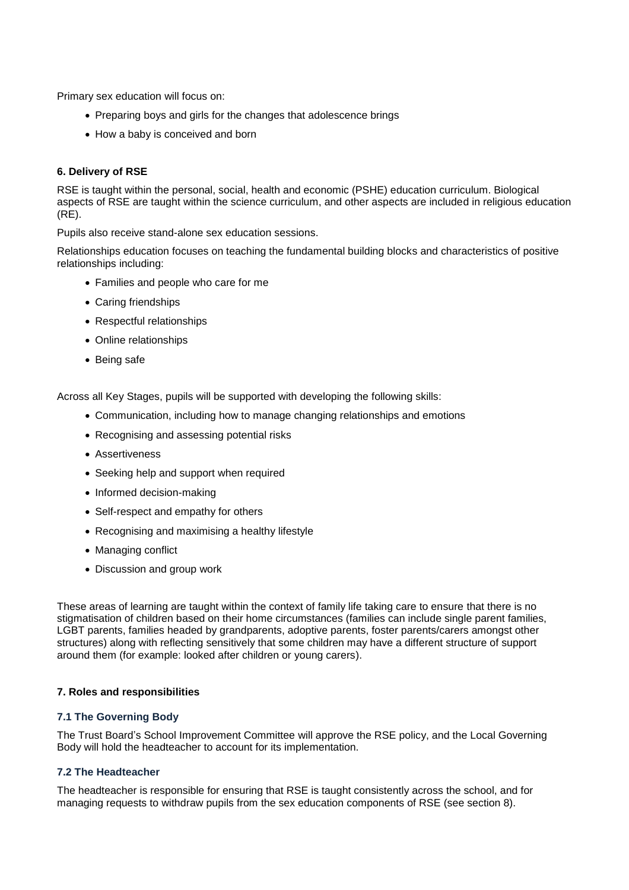Primary sex education will focus on:

- Preparing boys and girls for the changes that adolescence brings
- How a baby is conceived and born

#### <span id="page-4-0"></span>**6. Delivery of RSE**

RSE is taught within the personal, social, health and economic (PSHE) education curriculum. Biological aspects of RSE are taught within the science curriculum, and other aspects are included in religious education (RE).

Pupils also receive stand-alone sex education sessions.

Relationships education focuses on teaching the fundamental building blocks and characteristics of positive relationships including:

- Families and people who care for me
- Caring friendships
- Respectful relationships
- Online relationships
- Being safe

Across all Key Stages, pupils will be supported with developing the following skills:

- Communication, including how to manage changing relationships and emotions
- Recognising and assessing potential risks
- Assertiveness
- Seeking help and support when required
- Informed decision-making
- Self-respect and empathy for others
- Recognising and maximising a healthy lifestyle
- Managing conflict
- Discussion and group work

These areas of learning are taught within the context of family life taking care to ensure that there is no stigmatisation of children based on their home circumstances (families can include single parent families, LGBT parents, families headed by grandparents, adoptive parents, foster parents/carers amongst other structures) along with reflecting sensitively that some children may have a different structure of support around them (for example: looked after children or young carers).

#### <span id="page-4-1"></span>**7. Roles and responsibilities**

#### **7.1 The Governing Body**

The Trust Board's School Improvement Committee will approve the RSE policy, and the Local Governing Body will hold the headteacher to account for its implementation.

#### **7.2 The Headteacher**

The headteacher is responsible for ensuring that RSE is taught consistently across the school, and for managing requests to withdraw pupils from the sex education components of RSE (see section 8).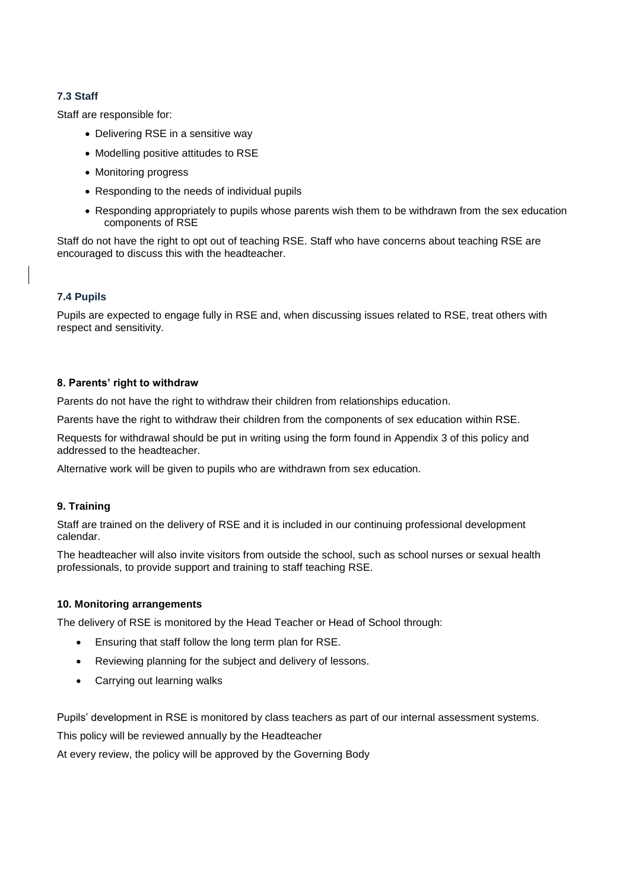#### **7.3 Staff**

Staff are responsible for:

- Delivering RSE in a sensitive way
- Modelling positive attitudes to RSE
- Monitoring progress
- Responding to the needs of individual pupils
- Responding appropriately to pupils whose parents wish them to be withdrawn from the sex education components of RSE

Staff do not have the right to opt out of teaching RSE. Staff who have concerns about teaching RSE are encouraged to discuss this with the headteacher.

#### **7.4 Pupils**

Pupils are expected to engage fully in RSE and, when discussing issues related to RSE, treat others with respect and sensitivity.

#### <span id="page-5-0"></span>**8. Parents' right to withdraw**

Parents do not have the right to withdraw their children from relationships education.

Parents have the right to withdraw their children from the components of sex education within RSE.

Requests for withdrawal should be put in writing using the form found in Appendix 3 of this policy and addressed to the headteacher.

Alternative work will be given to pupils who are withdrawn from sex education.

#### <span id="page-5-1"></span>**9. Training**

Staff are trained on the delivery of RSE and it is included in our continuing professional development calendar.

The headteacher will also invite visitors from outside the school, such as school nurses or sexual health professionals, to provide support and training to staff teaching RSE.

#### <span id="page-5-2"></span>**10. Monitoring arrangements**

The delivery of RSE is monitored by the Head Teacher or Head of School through:

- Ensuring that staff follow the long term plan for RSE.
- Reviewing planning for the subject and delivery of lessons.
- <span id="page-5-3"></span>• Carrying out learning walks

Pupils' development in RSE is monitored by class teachers as part of our internal assessment systems.

This policy will be reviewed annually by the Headteacher

At every review, the policy will be approved by the Governing Body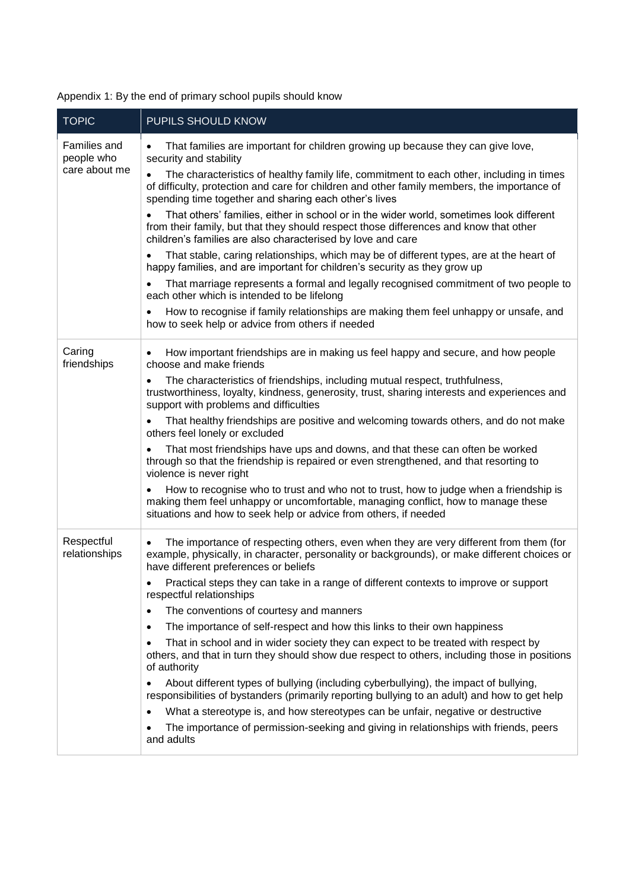| <b>TOPIC</b>                                | PUPILS SHOULD KNOW                                                                                                                                                                                                                                            |  |  |  |
|---------------------------------------------|---------------------------------------------------------------------------------------------------------------------------------------------------------------------------------------------------------------------------------------------------------------|--|--|--|
| Families and<br>people who<br>care about me | That families are important for children growing up because they can give love,<br>٠<br>security and stability                                                                                                                                                |  |  |  |
|                                             | The characteristics of healthy family life, commitment to each other, including in times<br>$\bullet$<br>of difficulty, protection and care for children and other family members, the importance of<br>spending time together and sharing each other's lives |  |  |  |
|                                             | That others' families, either in school or in the wider world, sometimes look different<br>from their family, but that they should respect those differences and know that other<br>children's families are also characterised by love and care               |  |  |  |
|                                             | That stable, caring relationships, which may be of different types, are at the heart of<br>$\bullet$<br>happy families, and are important for children's security as they grow up                                                                             |  |  |  |
|                                             | That marriage represents a formal and legally recognised commitment of two people to<br>$\bullet$<br>each other which is intended to be lifelong                                                                                                              |  |  |  |
|                                             | How to recognise if family relationships are making them feel unhappy or unsafe, and<br>$\bullet$<br>how to seek help or advice from others if needed                                                                                                         |  |  |  |
| Caring<br>friendships                       | How important friendships are in making us feel happy and secure, and how people<br>٠<br>choose and make friends                                                                                                                                              |  |  |  |
|                                             | The characteristics of friendships, including mutual respect, truthfulness,<br>$\bullet$<br>trustworthiness, loyalty, kindness, generosity, trust, sharing interests and experiences and<br>support with problems and difficulties                            |  |  |  |
|                                             | That healthy friendships are positive and welcoming towards others, and do not make<br>$\bullet$<br>others feel lonely or excluded                                                                                                                            |  |  |  |
|                                             | That most friendships have ups and downs, and that these can often be worked<br>٠<br>through so that the friendship is repaired or even strengthened, and that resorting to<br>violence is never right                                                        |  |  |  |
|                                             | How to recognise who to trust and who not to trust, how to judge when a friendship is<br>making them feel unhappy or uncomfortable, managing conflict, how to manage these<br>situations and how to seek help or advice from others, if needed                |  |  |  |
| Respectful<br>relationships                 | The importance of respecting others, even when they are very different from them (for<br>$\bullet$<br>example, physically, in character, personality or backgrounds), or make different choices or<br>have different preferences or beliefs                   |  |  |  |
|                                             | Practical steps they can take in a range of different contexts to improve or support<br>respectful relationships                                                                                                                                              |  |  |  |
|                                             | The conventions of courtesy and manners<br>$\bullet$                                                                                                                                                                                                          |  |  |  |
|                                             | The importance of self-respect and how this links to their own happiness<br>٠                                                                                                                                                                                 |  |  |  |
|                                             | That in school and in wider society they can expect to be treated with respect by<br>$\bullet$<br>others, and that in turn they should show due respect to others, including those in positions<br>of authority                                               |  |  |  |
|                                             | About different types of bullying (including cyberbullying), the impact of bullying,<br>$\bullet$<br>responsibilities of bystanders (primarily reporting bullying to an adult) and how to get help                                                            |  |  |  |
|                                             | What a stereotype is, and how stereotypes can be unfair, negative or destructive<br>$\bullet$                                                                                                                                                                 |  |  |  |
|                                             | The importance of permission-seeking and giving in relationships with friends, peers<br>$\bullet$<br>and adults                                                                                                                                               |  |  |  |

Appendix 1: By the end of primary school pupils should know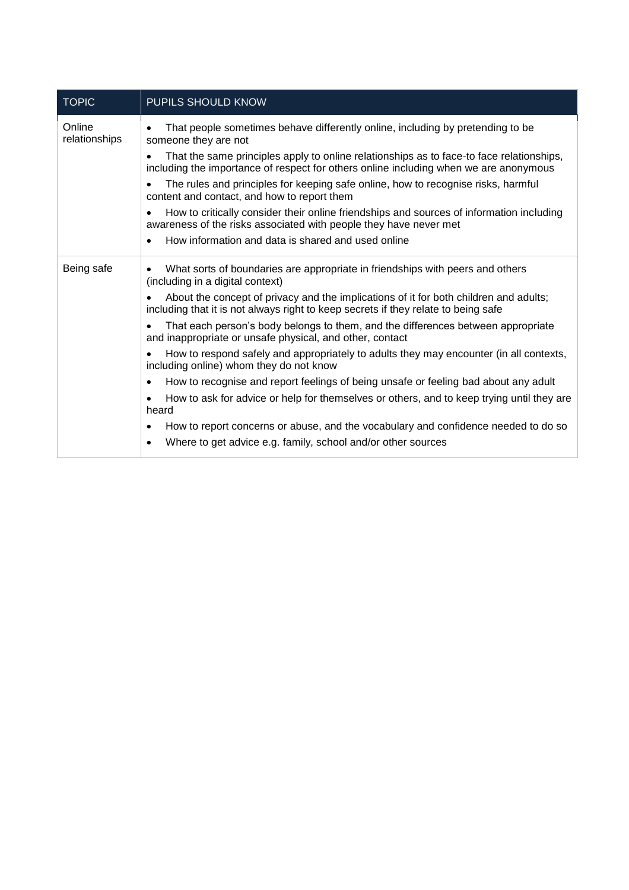| <b>TOPIC</b>            | PUPILS SHOULD KNOW                                                                                                                                                                |  |  |
|-------------------------|-----------------------------------------------------------------------------------------------------------------------------------------------------------------------------------|--|--|
| Online<br>relationships | That people sometimes behave differently online, including by pretending to be<br>someone they are not                                                                            |  |  |
|                         | That the same principles apply to online relationships as to face-to face relationships,<br>including the importance of respect for others online including when we are anonymous |  |  |
|                         | The rules and principles for keeping safe online, how to recognise risks, harmful<br>content and contact, and how to report them                                                  |  |  |
|                         | How to critically consider their online friendships and sources of information including<br>awareness of the risks associated with people they have never met                     |  |  |
|                         | How information and data is shared and used online<br>$\bullet$                                                                                                                   |  |  |
| Being safe              | What sorts of boundaries are appropriate in friendships with peers and others<br>$\bullet$<br>(including in a digital context)                                                    |  |  |
|                         | About the concept of privacy and the implications of it for both children and adults;<br>including that it is not always right to keep secrets if they relate to being safe       |  |  |
|                         | That each person's body belongs to them, and the differences between appropriate<br>and inappropriate or unsafe physical, and other, contact                                      |  |  |
|                         | How to respond safely and appropriately to adults they may encounter (in all contexts,<br>including online) whom they do not know                                                 |  |  |
|                         | How to recognise and report feelings of being unsafe or feeling bad about any adult<br>٠                                                                                          |  |  |
|                         | How to ask for advice or help for themselves or others, and to keep trying until they are<br>٠<br>heard                                                                           |  |  |
|                         | How to report concerns or abuse, and the vocabulary and confidence needed to do so<br>٠                                                                                           |  |  |
|                         | Where to get advice e.g. family, school and/or other sources<br>$\bullet$                                                                                                         |  |  |